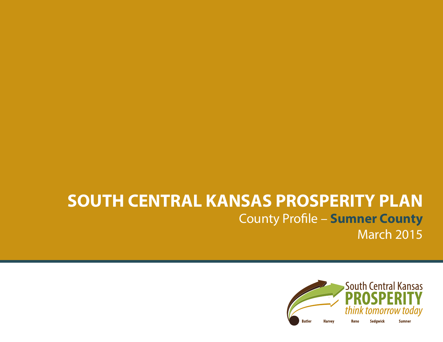# **SOUTH CENTRAL KANSAS PROSPERITY PLAN** County Profile – **Sumner County** March 2015

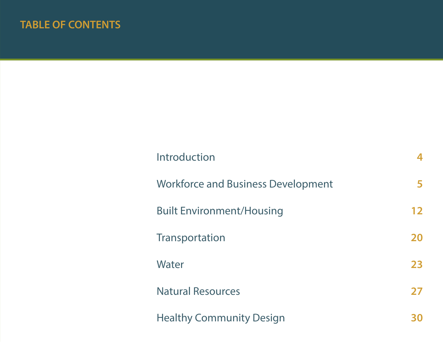# **TABLE OF CONTENTS**

| Introduction                              |    |
|-------------------------------------------|----|
| <b>Workforce and Business Development</b> | 5  |
| <b>Built Environment/Housing</b>          | 12 |
| Transportation                            | 20 |
| Water                                     | 23 |
| <b>Natural Resources</b>                  | 27 |
| <b>Healthy Community Design</b>           |    |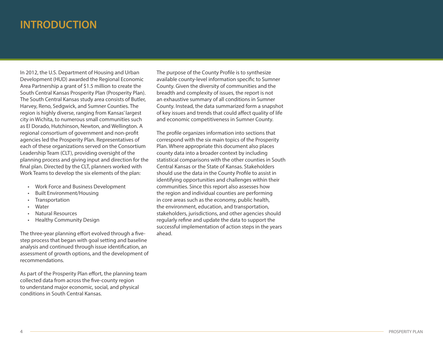# **INTRODUCTION**

In 2012, the U.S. Department of Housing and Urban Development (HUD) awarded the Regional Economic Area Partnership a grant of \$1.5 million to create the South Central Kansas Prosperity Plan (Prosperity Plan). The South Central Kansas study area consists of Butler, Harvey, Reno, Sedgwick, and Sumner Counties. The region is highly diverse, ranging from Kansas' largest city in Wichita, to numerous small communities such as El Dorado, Hutchinson, Newton, and Wellington. A regional consortium of government and non-profit agencies led the Prosperity Plan. Representatives of each of these organizations served on the Consortium Leadership Team (CLT), providing oversight of the planning process and giving input and direction for the final plan. Directed by the CLT, planners worked with Work Teams to develop the six elements of the plan:

- **Work Force and Business Development**
- **Built Environment/Housing**
- • Transportation
- • Water
- **Natural Resources**
- **Healthy Community Design**

The three-year planning effort evolved through a fivestep process that began with goal setting and baseline analysis and continued through issue identification, an assessment of growth options, and the development of recommendations.

As part of the Prosperity Plan effort, the planning team collected data from across the five-county region to understand major economic, social, and physical conditions in South Central Kansas.

The purpose of the County Profile is to synthesize available county-level information specific to Sumner County. Given the diversity of communities and the breadth and complexity of issues, the report is not an exhaustive summary of all conditions in Sumner County. Instead, the data summarized form a snapshot of key issues and trends that could affect quality of life and economic competitiveness in Sumner County.

The profile organizes information into sections that correspond with the six main topics of the Prosperity Plan. Where appropriate this document also places county data into a broader context by including statistical comparisons with the other counties in South Central Kansas or the State of Kansas. Stakeholders should use the data in the County Profile to assist in identifying opportunities and challenges within their communities. Since this report also assesses how the region and individual counties are performing in core areas such as the economy, public health, the environment, education, and transportation, stakeholders, jurisdictions, and other agencies should regularly refine and update the data to support the successful implementation of action steps in the years ahead.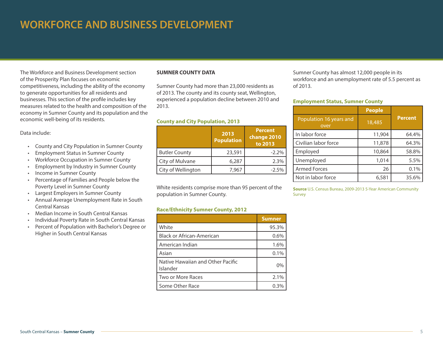# **WORKFORCE AND BUSINESS DEVELOPMENT**

The Workforce and Business Development section of the Prosperity Plan focuses on economic competitiveness, including the ability of the economy to generate opportunities for all residents and businesses. This section of the profile includes key measures related to the health and composition of the economy in Sumner County and its population and the economic well-being of its residents.

#### Data include:

- • County and City Population in Sumner County
- • Employment Status in Sumner County
- **Workforce Occupation in Sumner County**
- • Employment by Industry in Sumner County
- • Income in Sumner County
- • Percentage of Families and People below the Poverty Level in Sumner County
- • Largest Employers in Sumner County
- • Annual Average Unemployment Rate in South Central Kansas
- • Median Income in South Central Kansas
- Individual Poverty Rate in South Central Kansas
- • Percent of Population with Bachelor's Degree or Higher in South Central Kansas

# **SUMNER COUNTY DATA**

Sumner County had more than 23,000 residents as of 2013. The county and its county seat, Wellington, experienced a population decline between 2010 and 2013. **Employment Status, Sumner County**

### **County and City Population, 2013**

|                      | 2013<br><b>Population</b> | <b>Percent</b><br>change 2010<br>to 2013 |
|----------------------|---------------------------|------------------------------------------|
| <b>Butler County</b> | 23,591                    | $-2.2%$                                  |
| City of Mulvane      | 6,287                     | 2.3%                                     |
| City of Wellington   | 7,967                     | $-2.5%$                                  |

White residents comprise more than 95 percent of the population in Sumner County.

### **Race/Ethnicity Sumner County, 2012**

|                                               | <b>Sumner</b> |
|-----------------------------------------------|---------------|
| White                                         | 95.3%         |
| <b>Black or African-American</b>              | 0.6%          |
| American Indian                               | 1.6%          |
| Asian                                         | 0.1%          |
| Native Hawaiian and Other Pacific<br>Islander | $0\%$         |
| Two or More Races                             | 2.1%          |
| Some Other Race                               | 0.3%          |

Sumner County has almost 12,000 people in its workforce and an unemployment rate of 5.5 percent as of 2013.

|                                 | <b>People</b> |                |
|---------------------------------|---------------|----------------|
| Population 16 years and<br>over | 18,485        | <b>Percent</b> |
| In labor force                  | 11,904        | 64.4%          |
| Civilian labor force            | 11,878        | 64.3%          |
| Employed                        | 10,864        | 58.8%          |
| Unemployed                      | 1,014         | 5.5%           |
| <b>Armed Forces</b>             | 26            | 0.1%           |
| Not in labor force              | 6,581         | 35.6%          |

**Source** U.S. Census Bureau, 2009-2013 5-Year American Community Survey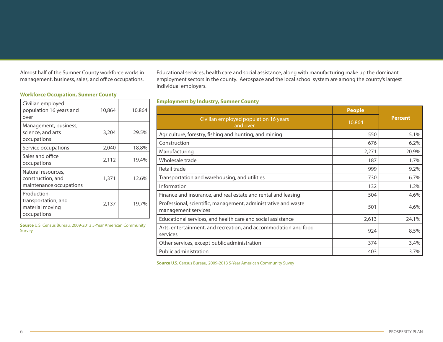Almost half of the Sumner County workforce works in management, business, sales, and office occupations.

# **Workforce Occupation, Sumner County**

| Civilian employed<br>population 16 years and<br>over                 | 10,864 | 10,864 |
|----------------------------------------------------------------------|--------|--------|
| Management, business,<br>science, and arts<br>occupations            | 3,204  | 29.5%  |
| Service occupations                                                  | 2,040  | 18.8%  |
| Sales and office<br>occupations                                      | 2,112  | 19.4%  |
| Natural resources,<br>construction, and<br>maintenance occupations   | 1,371  | 12.6%  |
| Production,<br>transportation, and<br>material moving<br>occupations | 2,137  | 19.7%  |

**Source** U.S. Census Bureau, 2009-2013 5-Year American Community Survey

Educational services, health care and social assistance, along with manufacturing make up the dominant employment sectors in the county. Aerospace and the local school system are among the county's largest individual employers.

# **Employment by Industry, Sumner County**

|                                                                                       | <b>People</b> |                |
|---------------------------------------------------------------------------------------|---------------|----------------|
| Civilian employed population 16 years<br>and over                                     | 10,864        | <b>Percent</b> |
| Agriculture, forestry, fishing and hunting, and mining                                | 550           | 5.1%           |
| Construction                                                                          | 676           | 6.2%           |
| Manufacturing                                                                         | 2,271         | 20.9%          |
| Wholesale trade                                                                       | 187           | 1.7%           |
| Retail trade                                                                          | 999           | 9.2%           |
| Transportation and warehousing, and utilities                                         | 730           | 6.7%           |
| Information                                                                           | 132           | 1.2%           |
| Finance and insurance, and real estate and rental and leasing                         | 504           | 4.6%           |
| Professional, scientific, management, administrative and waste<br>management services | 501           | 4.6%           |
| Educational services, and health care and social assistance                           | 2,613         | 24.1%          |
| Arts, entertainment, and recreation, and accommodation and food<br>services           | 924           | 8.5%           |
| Other services, except public administration                                          | 374           | 3.4%           |
| Public administration                                                                 | 403           | 3.7%           |

**Source** U.S. Census Bureau, 2009-2013 5-Year American Community Suvey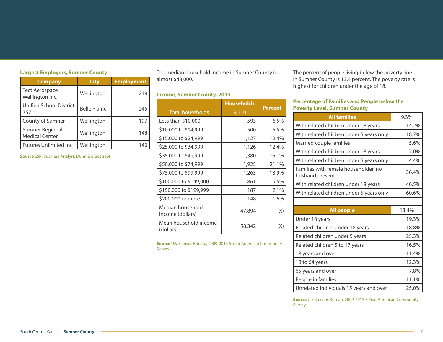# **Largest Employers, Sumner County**

| <b>Company</b>                           | <b>City</b>         | <b>Employment</b> |
|------------------------------------------|---------------------|-------------------|
| <b>Tect Aerospace</b><br>Wellington Inc. | Wellington          | 249               |
| Unified School District<br>357           | <b>Belle Plaine</b> | 245               |
| County of Sumner                         | Wellington          | 197               |
| Sumner Regional<br><b>Medical Center</b> | Wellington          | 148               |
| <b>Futures Unlimited Inc.</b>            | Wellington          | 140               |

**Source** ESRI Business Analyst, Dunn & Bradstreet

The median household income in Sumner County is almost \$48,000.

# **Income, Sumner County, 2013**

|                                      | <b>Households</b> |         |
|--------------------------------------|-------------------|---------|
| <b>Total households</b>              | 9,110             | Percent |
| Less than $$10,000$                  | 593               | 6.5%    |
| \$10,000 to \$14,999                 | 500               | 5.5%    |
| \$15,000 to \$24,999                 | 1,127             | 12.4%   |
| \$25,000 to \$34,999                 | 1,126             | 12.4%   |
| \$35,000 to \$49,999                 | 1,380             | 15.1%   |
| \$50,000 to \$74,999                 | 1,925             | 21.1%   |
| \$75,000 to \$99,999                 | 1,263             | 13.9%   |
| \$100,000 to \$149,000               | 861               | 9.5%    |
| \$150,000 to \$199,999               | 187               | 2.1%    |
| \$200,000 or more                    | 148               | 1.6%    |
| Median household<br>income (dollars) | 47,894            | (X)     |
| Mean household income<br>(dollars)   | 58,342            |         |

**Source** U.S. Census Bureau, 2009-2013 5-Year American Community Survey

The percent of people living below the poverty line in Sumner County is 13.4 percent. The poverty rate is highest for children under the age of 18.

# **Percentage of Families and People below the Poverty Level, Sumner County**

| <b>All families</b>                                     | 9.3%  |
|---------------------------------------------------------|-------|
| With related children under 18 years                    | 14.2% |
| With related children under 5 years only                | 18.7% |
| Married couple families                                 | 5.6%  |
| With related children under 18 years                    | 7.0%  |
| With related children under 5 years only                | 4.4%  |
| Families with female householder, no<br>husband present | 36.4% |
| With related children under 18 years                    | 46.5% |
| With related children under 5 years only                | 60.6% |
|                                                         |       |
| <b>All people</b>                                       | 13.4% |
| Under 18 years                                          | 19.3% |
| Related children under 18 years                         | 18.8% |
| Related children under 5 years                          | 25.3% |
| Related children 5 to 17 years                          | 16.5% |
| 18 years and over                                       | 11.4% |
| 18 to 64 years                                          | 12.3% |
| 65 years and over                                       | 7.8%  |
| People in families                                      | 11.1% |
| Unrelated individuals 15 years and over                 | 25.0% |

**Source** U.S. Census Bureau, 2009-2013 5-Year American Community Survey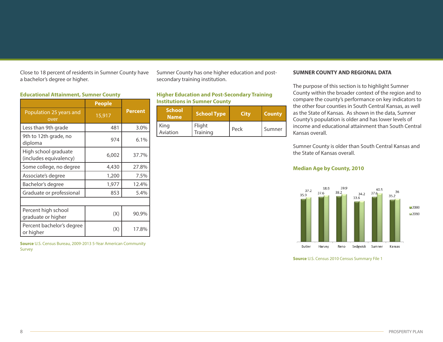Close to 18 percent of residents in Sumner County have a bachelor's degree or higher.

#### **Educational Attainment, Sumner County**

|                                                | <b>People</b> |                |
|------------------------------------------------|---------------|----------------|
| Population 25 years and<br>over                | 15,917        | <b>Percent</b> |
| Less than 9th grade                            | 481           | 3.0%           |
| 9th to 12th grade, no<br>diploma               | 974           | 6.1%           |
| High school graduate<br>(includes equivalency) | 6,002         | 37.7%          |
| Some college, no degree                        | 4,430         | 27.8%          |
| Associate's degree                             | 1,200         | 7.5%           |
| Bachelor's degree                              | 1,977         | 12.4%          |
| Graduate or professional                       | 853           | 5.4%           |
|                                                |               |                |
| Percent high school<br>graduate or higher      | (X)           | 90.9%          |
| Percent bachelor's degree<br>or higher         | (X)           | 17.8%          |

**Source** U.S. Census Bureau, 2009-2013 5-Year American Community Survey

Sumner County has one higher education and postsecondary training institution.

**Higher Education and Post-Secondary Training Institutions in Sumner County**

| 'School'<br><b>Name</b> | <b>School Type</b> | City | <b>County</b> |
|-------------------------|--------------------|------|---------------|
| King<br>Aviation        | Flight<br>Training | Peck | Sumner        |

#### **SUMNER COUNTY AND REGIONAL DATA**

The purpose of this section is to highlight Sumner County within the broader context of the region and to compare the county's performance on key indicators to the other four counties in South Central Kansas, as well as the State of Kansas. As shown in the data, Sumner County's population is older and has lower levels of income and educational attainment than South Central Kansas overall.

Sumner County is older than South Central Kansas and the State of Kansas overall.

# **Median Age by County, 2010**



**Source** U.S. Census 2010 Census Summary File 1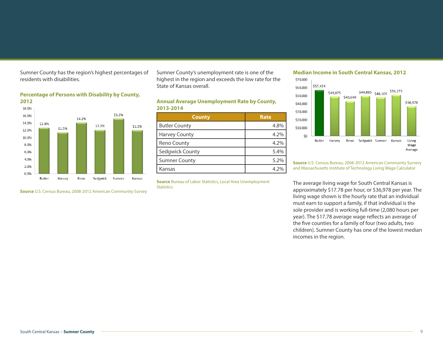Sumner County has the region's highest percentages of residents with disabilities.



**Source** U.S. Census Bureau, 2008-2012 American Community Survey

**Percentage of Persons with Disability by County,** 

Sumner County's unemployment rate is one of the highest in the region and exceeds the low rate for the State of Kansas overall.

# **Annual Average Unemployment Rate by County, 2013-2014**

| <b>County</b>        | <b>Rate</b> |
|----------------------|-------------|
| <b>Butler County</b> | 4.8%        |
| <b>Harvey County</b> | 4.2%        |
| <b>Reno County</b>   | 4.2%        |
| Sedgwick County      | 5.4%        |
| <b>Sumner County</b> | 5.2%        |
| Kansas               | 4 2%        |

**Source** Bureau of Labor Statistics, Local Area Unemployment **Statistics** 

# **Median Income in South Central Kansas, 2012**



**Source** U.S. Census Bureau, 2008-2012 American Community Survery and Massachusetts Institute of Technology Living Wage Calculator

The average living wage for South Central Kansas is approximately \$17.78 per hour, or \$36,978 per year. The living wage shown is the hourly rate that an individual must earn to support a family, if that individual is the sole provider and is working full-time (2,080 hours per year). The \$17.78 average wage reflects an average of the five counties for a family of four (two adults, two children). Sumner County has one of the lowest median incomes in the region.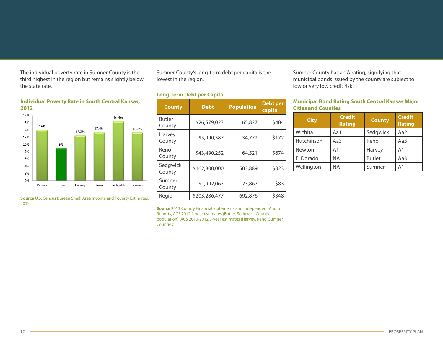The individual poverty rate in Sumner County is the third highest in the region but remains slightly below the state rate.

# **Individual Poverty Rate in South Central Kansas, 2012**



**Source** U.S. Census Bureau Small Area Income and Poverty Estimates, 2012

Sumner County's long-term debt per capita is the lowest in the region.

# **Long-Term Debt per Capita**

| <b>County</b>           | <b>Debt</b>   | <b>Population</b> | <b>Debt per</b><br>capita |
|-------------------------|---------------|-------------------|---------------------------|
| <b>Butler</b><br>County | \$26,579,023  | 65,827            | \$404                     |
| Harvey<br>County        | \$5,990,387   | 34,772            | \$172                     |
| Reno<br>County          | \$43,490,252  | 64,521            | \$674                     |
| Sedgwick<br>County      | \$162,800,000 | 503,889           | \$323                     |
| Sumner<br>County        | \$1,992,067   | 23,867            | \$83                      |
| Region                  | \$203,286,477 | 692,876           | \$348                     |

Sumner County has an A rating, signifying that municipal bonds issued by the county are subject to low or very low credit risk.

# **Municipal Bond Rating South Central Kansas Major Cities and Counties**

| <b>City</b> | <b>Credit</b><br><b>Rating</b> | <b>County</b> | <b>Credit</b><br><b>Rating</b> |
|-------------|--------------------------------|---------------|--------------------------------|
| Wichita     | Aa1                            | Sedgwick      | Aa2                            |
| Hutchinson  | Aa3                            | Reno          | Aa3                            |
| Newton      | A1                             | Harvey        | A <sub>1</sub>                 |
| El Dorado   | NA                             | <b>Butler</b> | Aa3                            |
| Wellington  | NA                             | Sumner        | A1                             |

**Source** 2013 County Financial Statements and Independent Auditor Reports, ACS 2012 1-year estimates (Butler, Sedgwick County population), ACS 2010-2012 3-year estimates (Harvey, Reno, Sumner Counties)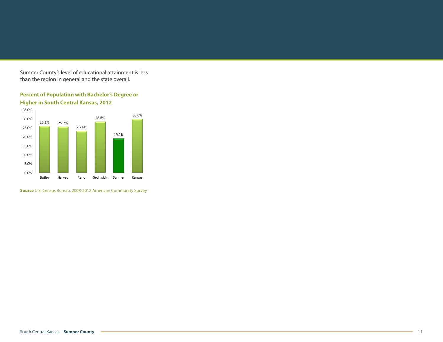Sumner County's level of educational attainment is less than the region in general and the state overall.

**Percent of Population with Bachelor's Degree or** 



**Source** U.S. Census Bureau, 2008-2012 American Community Survey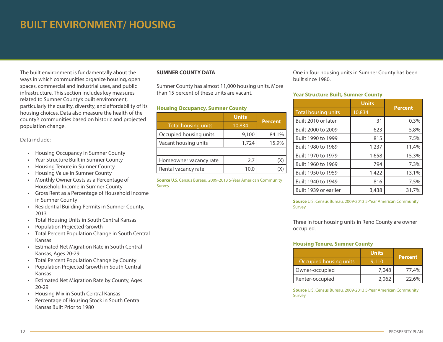# **BUILT ENVIRONMENT/ HOUSING**

The built environment is fundamentally about the ways in which communities organize housing, open spaces, commercial and industrial uses, and public infrastructure. This section includes key measures related to Sumner County's built environment, particularly the quality, diversity, and affordability of its housing choices. Data also measure the health of the county's communities based on historic and projected population change.

# Data include:

- • Housing Occupancy in Sumner County
- Year Structure Built in Sumner County
- Housing Tenure in Sumner County
- Housing Value in Sumner County
- • Monthly Owner Costs as a Percentage of Household Income in Sumner County
- • Gross Rent as a Percentage of Household Income in Sumner County
- • Residential Building Permits in Sumner County, 2013
- • Total Housing Units in South Central Kansas
- Population Projected Growth
- • Total Percent Population Change in South Central Kansas
- • Estimated Net Migration Rate in South Central Kansas, Ages 20-29
- Total Percent Population Change by County
- • Population Projected Growth in South Central Kansas
- • Estimated Net Migration Rate by County, Ages 20-29
- • Housing Mix in South Central Kansas
- • Percentage of Housing Stock in South Central Kansas Built Prior to 1980

# **SUMNER COUNTY DATA**

Sumner County has almost 11,000 housing units. More than 15 percent of these units are vacant.

### **Housing Occupancy, Sumner County**

|                            | <b>Units</b> |                |
|----------------------------|--------------|----------------|
| <b>Total housing units</b> | 10,834       | <b>Percent</b> |
| Occupied housing units     | 9,100        | 84.1%          |
| Vacant housing units       | 1,724        | 15.9%          |
|                            |              |                |
| Homeowner vacancy rate     | 2.7          | х              |
| Rental vacancy rate        | 10.0         |                |

**Source** U.S. Census Bureau, 2009-2013 5-Year American Community Survey

One in four housing units in Sumner County has been built since 1980.

#### **Year Structure Built, Sumner County**

|                            | <b>Units</b> |                |
|----------------------------|--------------|----------------|
| <b>Total housing units</b> | 10,834       | <b>Percent</b> |
| Built 2010 or later        | 31           | 0.3%           |
| Built 2000 to 2009         | 623          | 5.8%           |
| Built 1990 to 1999         | 815          | 7.5%           |
| Built 1980 to 1989         | 1,237        | 11.4%          |
| Built 1970 to 1979         | 1,658        | 15.3%          |
| Built 1960 to 1969         | 794          | 7.3%           |
| Built 1950 to 1959         | 1,422        | 13.1%          |
| Built 1940 to 1949         | 816          | 7.5%           |
| Built 1939 or earlier      | 3,438        | 31.7%          |

**Source** U.S. Census Bureau, 2009-2013 5-Year American Community Survey

Three in four housing units in Reno County are owner occupied.

# **Housing Tenure, Sumner County**

|                        | <b>Units</b> | <b>Percent</b> |
|------------------------|--------------|----------------|
| Occupied housing units | 9.110        |                |
| Owner-occupied         | 7,048        | 77.4%          |
| Renter-occupied        | 2.062        | 22.6%          |

**Source** U.S. Census Bureau, 2009-2013 5-Year American Community Survey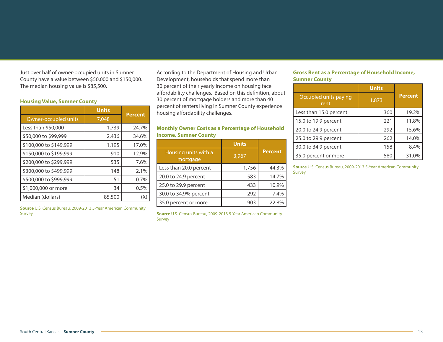Just over half of owner-occupied units in Sumner County have a value between \$50,000 and \$150,000. The median housing value is \$85,500.

# **Housing Value, Sumner County**

|                        | <b>Units</b> |                |
|------------------------|--------------|----------------|
| Owner-occupied units   | 7,048        | <b>Percent</b> |
| Less than \$50,000     | 1,739        | 24.7%          |
| \$50,000 to \$99,999   | 2,436        | 34.6%          |
| \$100,000 to \$149,999 | 1,195        | 17.0%          |
| \$150,000 to \$199,999 | 910          | 12.9%          |
| \$200,000 to \$299,999 | 535          | 7.6%           |
| \$300,000 to \$499,999 | 148          | 2.1%           |
| \$500,000 to \$999,999 | 51           | 0.7%           |
| \$1,000,000 or more    | 34           | 0.5%           |
| Median (dollars)       | 85,500       | (X)            |

**Source** U.S. Census Bureau, 2009-2013 5-Year American Community Survey

According to the Department of Housing and Urban Development, households that spend more than 30 percent of their yearly income on housing face affordability challenges. Based on this definition, about 30 percent of mortgage holders and more than 40 percent of renters living in Sumner County experience housing affordability challenges.

# **Monthly Owner Costs as a Percentage of Household Income, Sumner County**

|                                  | <b>Units</b> |                |
|----------------------------------|--------------|----------------|
| Housing units with a<br>mortgage | 3,967        | <b>Percent</b> |
| Less than 20.0 percent           | 1,756        | 44.3%          |
| 20.0 to 24.9 percent             | 583          | 14.7%          |
| 25.0 to 29.9 percent             | 433          | 10.9%          |
| 30.0 to 34.9% percent            | 292          | 7.4%           |
| 35.0 percent or more             | 903          | 22.8%          |

**Source** U.S. Census Bureau, 2009-2013 5-Year American Community Survey

# **Gross Rent as a Percentage of Household Income, Sumner County**

|                               | <b>Units</b> |         |
|-------------------------------|--------------|---------|
| Occupied units paying<br>rent | 1,873        | Percent |
| Less than 15.0 percent        | 360          | 19.2%   |
| 15.0 to 19.9 percent          | 221          | 11.8%   |
| 20.0 to 24.9 percent          | 292          | 15.6%   |
| 25.0 to 29.9 percent          | 262          | 14.0%   |
| 30.0 to 34.9 percent          | 158          | 8.4%    |
| 35.0 percent or more          | 580          | 31.0%   |

**Source** U.S. Census Bureau, 2009-2013 5-Year American Community Survey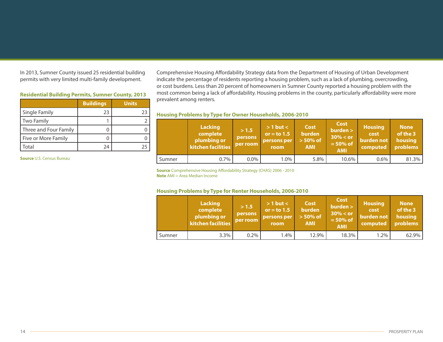In 2013, Sumner County issued 25 residential building permits with very limited multi-family development.

# **Residential Building Permits, Sumner County, 2013**

|                       | <b>Buildings</b> | <b>Units</b> |
|-----------------------|------------------|--------------|
| Single Family         | 23               | 73           |
| Two Family            |                  |              |
| Three and Four Family |                  |              |
| Five or More Family   |                  |              |
| Total                 | 24               |              |

**Source** U.S. Census Bureau

Comprehensive Housing Affordability Strategy data from the Department of Housing of Urban Development indicate the percentage of residents reporting a housing problem, such as a lack of plumbing, overcrowding, or cost burdens. Less than 20 percent of homeowners in Sumner County reported a housing problem with the most common being a lack of affordability. Housing problems in the county, particularly affordability were more prevalent among renters.

|        | Lacking<br>complete<br>plumbing or<br>kitchen facilities | > 1.5<br>persons<br>per room | $> 1$ but $<$<br>or = to $1.5$<br>persons per<br>room | Cost<br><b>burden</b><br>$> 50\%$ of<br><b>AMI</b> | <b>Cost</b><br>burden ><br>$30\% < or$<br>$= 50\%$ of<br><b>AMI</b> | <b>Housing</b><br>cost<br>burden not<br>computed | <b>None</b><br>of the 3<br>housing<br>problems |
|--------|----------------------------------------------------------|------------------------------|-------------------------------------------------------|----------------------------------------------------|---------------------------------------------------------------------|--------------------------------------------------|------------------------------------------------|
| Sumner | $0.7\%$                                                  | 0.0%                         | $1.0\%$                                               | 5.8%                                               | 10.6%                                                               | 0.6%                                             | 81.3%                                          |

# **Housing Problems by Type for Owner Households, 2006-2010**

**Source** Comprehensive Housing Affordability Strategy (CHAS) 2006 - 2010 **Note** AMI = Area Median Income

# **Housing Problems by Type for Renter Households, 2006-2010**

|        | <b>Lacking</b><br>complete<br>plumbing or<br>kitchen facilities | >1.5<br><b>persons</b><br>per room | $> 1$ but $<$<br>or $=$ to 1.5<br>persons per<br>room | Cost<br><b>burden</b><br>$> 50\%$ of<br><b>AMI</b> | <b>Cost</b><br>burden<br>$30\% <$ or<br>$= 50\%$ of<br><b>AMI</b> | <b>Housing</b><br>cost<br>burden not<br>computed | <b>None</b><br>of the 3<br>housing<br>problems |
|--------|-----------------------------------------------------------------|------------------------------------|-------------------------------------------------------|----------------------------------------------------|-------------------------------------------------------------------|--------------------------------------------------|------------------------------------------------|
| Sumner | 3.3%                                                            | $0.2\%$                            | 1.4%                                                  | 12.9%                                              | 18.3%                                                             | $1.2\%$                                          | 62.9%                                          |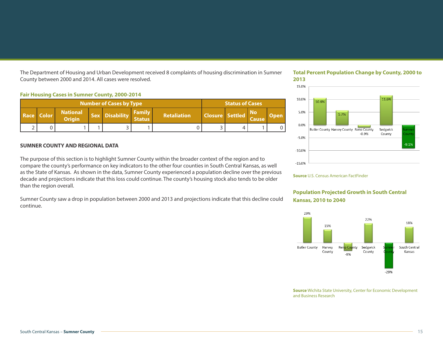The Department of Housing and Urban Development received 8 complaints of housing discrimination in Sumner County between 2000 and 2014. All cases were resolved.

#### **Fair Housing Cases in Sumner County, 2000-2014**

| <b>Number of Cases by Type</b> |            |                                  |  |                |                                |                    | <b>Status of Cases</b> |  |                           |             |
|--------------------------------|------------|----------------------------------|--|----------------|--------------------------------|--------------------|------------------------|--|---------------------------|-------------|
|                                | Race Color | <b>National</b><br><b>Origin</b> |  | Sex Disability | <b>Family</b><br><b>Status</b> | <b>Retaliation</b> | Closure Settled        |  | <b>No</b><br><b>Cause</b> | <b>Open</b> |
|                                |            |                                  |  |                |                                |                    |                        |  |                           |             |

#### **SUMNER COUNTY AND REGIONAL DATA**

The purpose of this section is to highlight Sumner County within the broader context of the region and to compare the county's performance on key indicators to the other four counties in South Central Kansas, as well as the State of Kansas. As shown in the data, Sumner County experienced a population decline over the previous decade and projections indicate that this loss could continue. The county's housing stock also tends to be older than the region overall.

Sumner County saw a drop in population between 2000 and 2013 and projections indicate that this decline could continue.

# **Total Percent Population Change by County, 2000 to 2013**



**Source** U.S. Census American FactFinder

# **Population Projected Growth in South Central Kansas, 2010 to 2040**



**Source** Wichita State University, Center for Economic Development and Business Research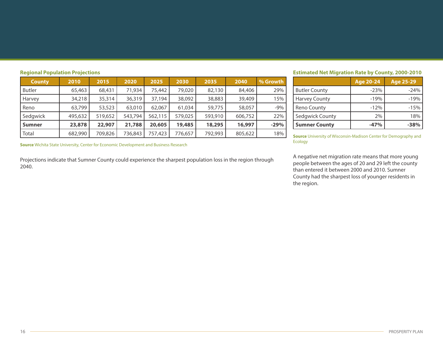| <b>County</b> | 2010    | 2015    | 2020    | 2025    | 2030    | 2035    | 2040    | % Growth |
|---------------|---------|---------|---------|---------|---------|---------|---------|----------|
| <b>Butler</b> | 65,463  | 68,431  | 71,934  | 75,442  | 79,020  | 82,130  | 84,406  | 29%      |
| Harvey        | 34,218  | 35,314  | 36,319  | 37,194  | 38,092  | 38,883  | 39,409  | 15%      |
| Reno          | 63,799  | 53,523  | 63,010  | 62,067  | 61,034  | 59,775  | 58,057  | $-9%$    |
| Sedgwick      | 495,632 | 519,652 | 543,794 | 562,115 | 579,025 | 593,910 | 606,752 | 22%      |
| <b>Sumner</b> | 23,878  | 22,907  | 21,788  | 20,605  | 19,485  | 18,295  | 16,997  | $-29%$   |
| Total         | 682,990 | 709,826 | 736,843 | 757,423 | 776,657 | 792,993 | 805,622 | 18%      |

**Regional Population Projections**

**Source** Wichita State University, Center for Economic Development and Business Research

Projections indicate that Sumner County could experience the sharpest population loss in the region through 2040.

# **Estimated Net Migration Rate by County, 2000-2010**

|                      | Age 20-24 | Age 25-29 |
|----------------------|-----------|-----------|
| <b>Butler County</b> | $-23%$    | $-24%$    |
| <b>Harvey County</b> | $-19%$    | $-19%$    |
| <b>Reno County</b>   | $-12%$    | $-1.5%$   |
| Sedgwick County      | 2%        | 18%       |
| <b>Sumner County</b> | $-47%$    | $-38%$    |

**Source** University of Wisconsin-Madison Center for Demography and Ecology

A negative net migration rate means that more young people between the ages of 20 and 29 left the county than entered it between 2000 and 2010. Sumner County had the sharpest loss of younger residents in the region.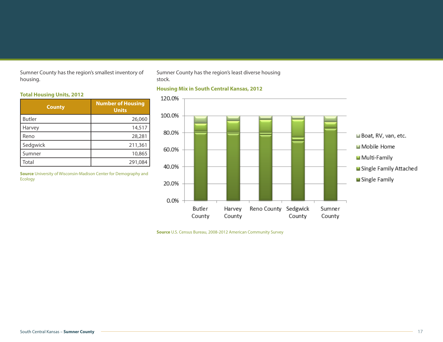Sumner County has the region's smallest inventory of housing.

Sumner County has the region's least diverse housing stock.

# **Total Housing Units, 2012**

| <b>County</b> | <b>Number of Housing</b><br><b>Units</b> |
|---------------|------------------------------------------|
| <b>Butler</b> | 26,060                                   |
| Harvey        | 14,517                                   |
| Reno          | 28,281                                   |
| Sedgwick      | 211,361                                  |
| Sumner        | 10,865                                   |
| Total         | 291,084                                  |

**Source** University of Wisconsin-Madison Center for Demography and Ecology

# **Housing Mix in South Central Kansas, 2012**



**Source** U.S. Census Bureau, 2008-2012 American Community Survey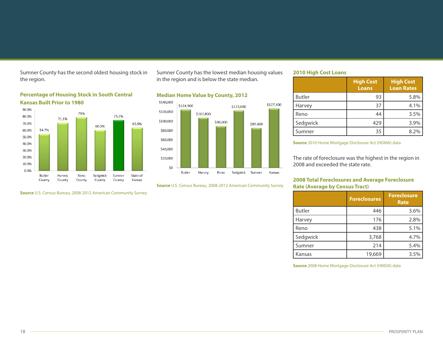Sumner County has the second oldest housing stock in the region.



**Percentage of Housing Stock in South Central Kansas Built Prior to 1980**

**Source** U.S. Census Bureau, 2008-2012 American Community Survey

Sumner County has the lowest median housing values in the region and is below the state median.

# **Median Home Value by County, 2012**



**Source** U.S. Census Bureau, 2008-2012 American Community Survey

# **2010 High Cost Loans**

|               | <b>High Cost</b><br><b>Loans</b> | <b>High Cost</b><br><b>Loan Rates</b> |
|---------------|----------------------------------|---------------------------------------|
| <b>Butler</b> | 93                               | 5.8%                                  |
| Harvey        | 37                               | 4.1%                                  |
| Reno          | 44                               | 3.5%                                  |
| Sedgwick      | 429                              | 3.9%                                  |
| Sumner        | 35                               | 8.2%                                  |

#### **Source** 2010 Home Mortgage Disclosure Act (HDMA) data

The rate of foreclosure was the highest in the region in 2008 and exceeded the state rate.

# **2008 Total Foreclosures and Average Foreclosure Rate (Average by Census Tract)**

|               | <b>Foreclosures</b> | <b>Foreclosure</b><br><b>Rate</b> |
|---------------|---------------------|-----------------------------------|
| <b>Butler</b> | 446                 | 3.6%                              |
| Harvey        | 176                 | 2.8%                              |
| Reno          | 438                 | 5.1%                              |
| Sedgwick      | 3,768               | 4.7%                              |
| Sumner        | 214                 | 5.4%                              |
| Kansas        | 19,669              | 3.5%                              |

**Source** 2008 Home Mortgage Disclosure Act (HMDA) data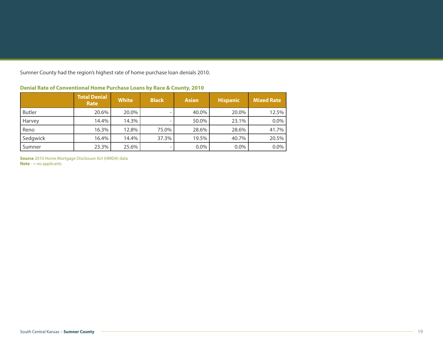Sumner County had the region's highest rate of home purchase loan denials 2010.

|               | Total Denial<br>Rate | <b>White</b> | <b>Black</b> | <b>Asian</b> | <b>Hispanic</b> | <b>Mixed Rate</b> |
|---------------|----------------------|--------------|--------------|--------------|-----------------|-------------------|
| <b>Butler</b> | 20.6%                | 20.0%        | -            | 40.0%        | 20.0%           | 12.5%             |
| Harvey        | 14.4%                | 14.3%        |              | 50.0%        | 23.1%           | $0.0\%$           |
| Reno          | 16.3%                | 12.8%        | 75.0%        | 28.6%        | 28.6%           | 41.7%             |
| Sedgwick      | 16.4%                | 14.4%        | 37.3%        | 19.5%        | 40.7%           | 20.5%             |
| Sumner        | 23.3%                | 25.6%        | -            | $0.0\%$      | $0.0\%$         | $0.0\%$           |

# **Denial Rate of Conventional Home Purchase Loans by Race & County, 2010**

**Source** 2010 Home Mortgage Disclosure Act (HMDA) data **Note** - = no applicants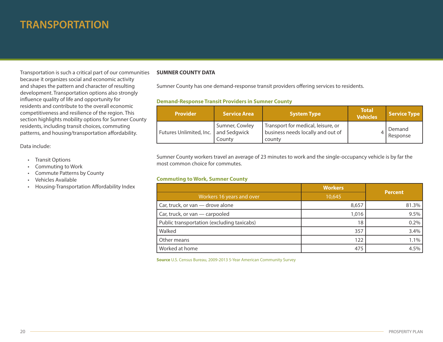# **TRANSPORTATION**

Transportation is such a critical part of our communities because it organizes social and economic activity and shapes the pattern and character of resulting development. Transportation options also strongly influence quality of life and opportunity for residents and contribute to the overall economic competitiveness and resilience of the region. This section highlights mobility options for Sumner County residents, including transit choices, commuting patterns, and housing/transportation affordability.

Data include:

- • Transit Options
- • Commuting to Work
- • Commute Patterns by County
- • Vehicles Available
- Housing-Transportation Affordability Index

# **SUMNER COUNTY DATA**

Sumner County has one demand-response transit providers offering services to residents.

# **Demand-Response Transit Providers in Sumner County**

| <b>Provider</b>                        | Service Area             | <b>System Type</b>                                                                | <b>Total</b><br><b>Vehicles</b> | Service Type       |
|----------------------------------------|--------------------------|-----------------------------------------------------------------------------------|---------------------------------|--------------------|
| Futures Unlimited, Inc.   and Sedgwick | Sumner, Cowley<br>County | Transport for medical, leisure, or<br>business needs locally and out of<br>county |                                 | Demand<br>Response |

Sumner County workers travel an average of 23 minutes to work and the single-occupancy vehicle is by far the most common choice for commutes.

# **Commuting to Work, Sumner County**

|                                            | <b>Workers</b> | <b>Percent</b> |
|--------------------------------------------|----------------|----------------|
| Workers 16 years and over                  | 10,645         |                |
| Car, truck, or van — drove alone           | 8,657          | 81.3%          |
| Car, truck, or van - carpooled             | 1,016          | 9.5%           |
| Public transportation (excluding taxicabs) | 18             | 0.2%           |
| Walked                                     | 357            | 3.4%           |
| Other means                                | 122            | 1.1%           |
| Worked at home                             | 475            | 4.5%           |

**Source** U.S. Census Bureau, 2009-2013 5-Year American Community Survey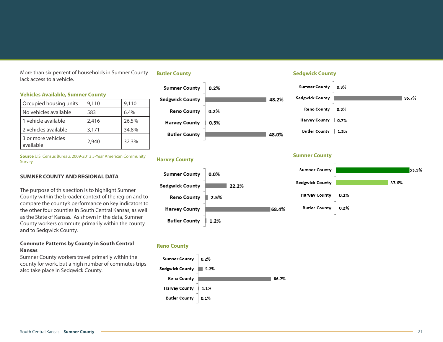More than six percent of households in Sumner County lack access to a vehicle.

# **Vehicles Available, Sumner County**

| Occupied housing units          | 9,110 | 9,110 |
|---------------------------------|-------|-------|
| No vehicles available           | 583   | 6.4%  |
| 1 vehicle available             | 2,416 | 26.5% |
| 2 vehicles available            | 3,171 | 34.8% |
| 3 or more vehicles<br>available | 2,940 | 32.3% |

**Source** U.S. Census Bureau, 2009-2013 5-Year American Community Survey

#### **SUMNER COUNTY AND REGIONAL DATA**

The purpose of this section is to highlight Sumner County within the broader context of the region and to compare the county's performance on key indicators to the other four counties in South Central Kansas, as well as the State of Kansas. As shown in the data, Sumner County workers commute primarily within the county and to Sedgwick County.

# **Commute Patterns by County in South Central Kansas**

Sumner County workers travel primarily within the county for work, but a high number of commutes trips also take place in Sedgwick County.

#### **Butler County**





#### **Reno County**



# **Sedgwick County**

| <b>Sumner County</b> | 0.3% |       |
|----------------------|------|-------|
| Sedgwick County      |      | 95.7% |
| <b>Reno County</b>   | 0.3% |       |
| <b>Harvey County</b> | 0.7% |       |
| <b>Butler County</b> | 1.3% |       |

# **Harvey County Sumner County**

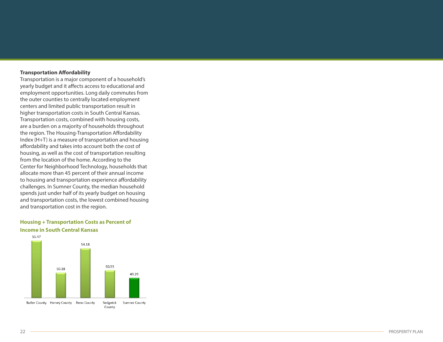# **Transportation Affordability**

Transportation is a major component of a household's yearly budget and it affects access to educational and employment opportunities. Long daily commutes from the outer counties to centrally located employment centers and limited public transportation result in higher transportation costs in South Central Kansas. Transportation costs, combined with housing costs, are a burden on a majority of households throughout the region. The Housing-Transportation Affordability Index (H+T) is a measure of transportation and housing affordability and takes into account both the cost of housing, as well as the cost of transportation resulting from the location of the home. According to the Center for Neighborhood Technology, households that allocate more than 45 percent of their annual income to housing and transportation experience affordability challenges. In Sumner County, the median household spends just under half of its yearly budget on housing and transportation costs, the lowest combined housing and transportation cost in the region.

### **Housing + Transportation Costs as Percent of Income in South Central Kansas**

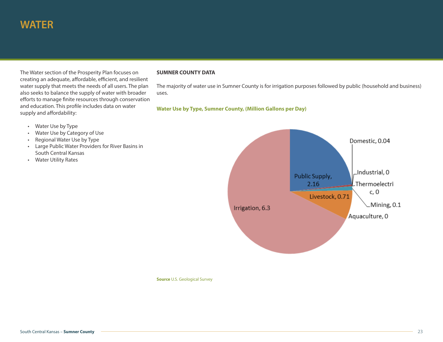The Water section of the Prosperity Plan focuses on creating an adequate, affordable, efficient, and resilient water supply that meets the needs of all users. The plan also seeks to balance the supply of water with broader efforts to manage finite resources through conservation and education. This profile includes data on water supply and affordability:

### **SUMNER COUNTY DATA**

The majority of water use in Sumner County is for irrigation purposes followed by public (household and business) uses.

# **Water Use by Type, Sumner County, (Million Gallons per Day)**

- • Water Use by Type
- • Water Use by Category of Use
- • Regional Water Use by Type
- • Large Public Water Providers for River Basins in South Central Kansas
- • Water Utility Rates



**Source** U.S. Geological Survey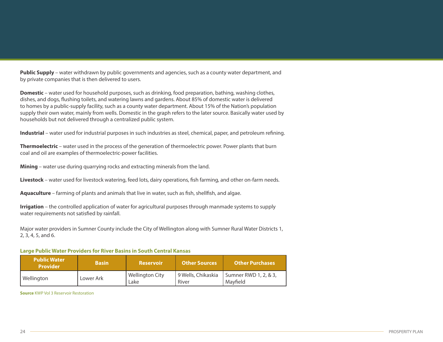**Public Supply** – water withdrawn by public governments and agencies, such as a county water department, and by private companies that is then delivered to users.

**Domestic** – water used for household purposes, such as drinking, food preparation, bathing, washing clothes, dishes, and dogs, flushing toilets, and watering lawns and gardens. About 85% of domestic water is delivered to homes by a public-supply facility, such as a county water department. About 15% of the Nation's population supply their own water, mainly from wells. Domestic in the graph refers to the later source. Basically water used by households but not delivered through a centralized public system.

**Industrial** – water used for industrial purposes in such industries as steel, chemical, paper, and petroleum refining.

**Thermoelectric** – water used in the process of the generation of thermoelectric power. Power plants that burn coal and oil are examples of thermoelectric-power facilities.

**Mining** – water use during quarrying rocks and extracting minerals from the land.

**Livestock** – water used for livestock watering, feed lots, dairy operations, fish farming, and other on-farm needs.

**Aquaculture** – farming of plants and animals that live in water, such as fish, shellfish, and algae.

**Irrigation** – the controlled application of water for agricultural purposes through manmade systems to supply water requirements not satisfied by rainfall.

Major water providers in Sumner County include the City of Wellington along with Sumner Rural Water Districts 1, 2, 3, 4, 5, and 6.

#### **Large Public Water Providers for River Basins in South Central Kansas**

| <b>Public Water</b><br><b>Provider</b> | <b>Basin</b> | <b>Reservoir</b>        | <b>Other Sources</b>        | <b>Other Purchases</b>            |
|----------------------------------------|--------------|-------------------------|-----------------------------|-----------------------------------|
| Wellington                             | Lower Ark    | Wellington City<br>Lake | 9 Wells, Chikaskia<br>River | Sumner RWD 1, 2, & 3,<br>Mavfield |

**Source** KWP Vol 3 Reservoir Restoration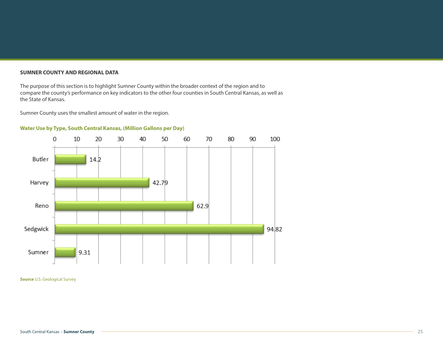#### **SUMNER COUNTY AND REGIONAL DATA**

The purpose of this section is to highlight Sumner County within the broader context of the region and to compare the county's performance on key indicators to the other four counties in South Central Kansas, as well as the State of Kansas.

Sumner County uses the smallest amount of water in the region.

# **Water Use by Type, South Central Kansas, (Million Gallons per Day)**



**Source** U.S. Geological Survey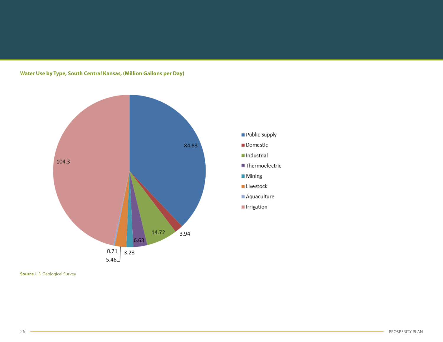# **Water Use by Type, South Central Kansas, (Million Gallons per Day)**



Public Supply Domestic

■ Thermoelectric

Industrial

Mining **■** Livestock Aquaculture Irrigation

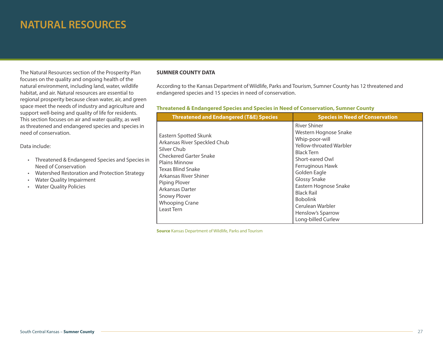# **NATURAL RESOURCES**

The Natural Resources section of the Prosperity Plan focuses on the quality and ongoing health of the natural environment, including land, water, wildlife habitat, and air. Natural resources are essential to regional prosperity because clean water, air, and green space meet the needs of industry and agriculture and support well-being and quality of life for residents. This section focuses on air and water quality, as well as threatened and endangered species and species in need of conservation.

Data include:

- • Threatened & Endangered Species and Species in Need of Conservation
- • Watershed Restoration and Protection Strategy
- • Water Quality Impairment
- • Water Quality Policies

#### **SUMNER COUNTY DATA**

According to the Kansas Department of Wildlife, Parks and Tourism, Sumner County has 12 threatened and endangered species and 15 species in need of conservation.

# **Threatened & Endangered Species and Species in Need of Conservation, Sumner County**

| <b>Threatened and Endangered (T&amp;E) Species</b>                                                                                                                                                                                                                            | <b>Species in Need of Conservation</b>                                                                                                                                                                                                                                                                                |
|-------------------------------------------------------------------------------------------------------------------------------------------------------------------------------------------------------------------------------------------------------------------------------|-----------------------------------------------------------------------------------------------------------------------------------------------------------------------------------------------------------------------------------------------------------------------------------------------------------------------|
| Eastern Spotted Skunk<br>Arkansas River Speckled Chub<br>Silver Chub<br><b>Checkered Garter Snake</b><br><b>Plains Minnow</b><br><b>Texas Blind Snake</b><br>Arkansas River Shiner<br>Piping Plover<br>Arkansas Darter<br>Snowy Plover<br><b>Whooping Crane</b><br>Least Tern | <b>River Shiner</b><br>Western Hognose Snake<br>Whip-poor-will<br>Yellow-throated Warbler<br><b>Black Tern</b><br>Short-eared Owl<br>Ferruginous Hawk<br>Golden Eagle<br>Glossy Snake<br>Eastern Hognose Snake<br><b>Black Rail</b><br><b>Bobolink</b><br>Cerulean Warbler<br>Henslow's Sparrow<br>Long-billed Curlew |

**Source** Kansas Department of Wildlife, Parks and Tourism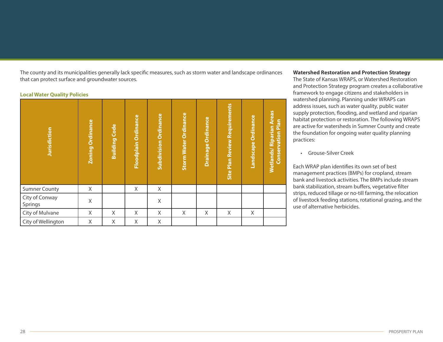The county and its municipalities generally lack specific measures, such as storm water and landscape ordinances that can protect surface and groundwater sources.

#### **Local Water Quality Policies**

| <b>Jurisdiction</b>       | <b>Zoning Ordinance</b> | <b>Building Code</b> | Floodplain Ordinance | <b>Subdivision Ordinance</b> | <b>Storm Water Ordinance</b> | Drainage Ordinance | <b>Site Plan Review Requirements</b> | Landscape Ordinance | Wetlands/ Riparian Areas<br><b>Conservation Plan</b> |
|---------------------------|-------------------------|----------------------|----------------------|------------------------------|------------------------------|--------------------|--------------------------------------|---------------------|------------------------------------------------------|
| <b>Sumner County</b>      | Χ                       |                      | Χ                    | X                            |                              |                    |                                      |                     |                                                      |
| City of Conway<br>Springs | $\mathsf X$             |                      |                      | Χ                            |                              |                    |                                      |                     |                                                      |
| City of Mulvane           | X                       | Χ                    | X                    | X                            | X                            | X                  | X                                    | X                   |                                                      |
| City of Wellington        | Χ                       | Χ                    | Χ                    | Χ                            |                              |                    |                                      |                     |                                                      |

# **Watershed Restoration and Protection Strategy**

The State of Kansas WRAPS, or Watershed Restoration and Protection Strategy program creates a collaborative framework to engage citizens and stakeholders in watershed planning. Planning under WRAPS can address issues, such as water quality, public water supply protection, flooding, and wetland and riparian habitat protection or restoration. The following WRAPS are active for watersheds in Sumner County and create the foundation for ongoing water quality planning practices:

• Grouse-Silver Creek

Each WRAP plan identifies its own set of best management practices (BMPs) for cropland, stream bank and livestock activities. The BMPs include stream bank stabilization, stream buffers, vegetative filter strips, reduced tillage or no-till farming, the relocation of livestock feeding stations, rotational grazing, and the use of alternative herbicides.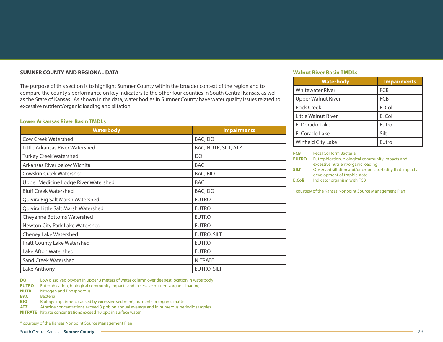#### **SUMNER COUNTY AND REGIONAL DATA**

The purpose of this section is to highlight Sumner County within the broader context of the region and to compare the county's performance on key indicators to the other four counties in South Central Kansas, as well as the State of Kansas. As shown in the data, water bodies in Sumner County have water quality issues related to excessive nutrient/organic loading and siltation.

#### **Lower Arkansas River Basin TMDLs**

| <b>Waterbody</b>                     | <b>Impairments</b>   |
|--------------------------------------|----------------------|
| <b>Cow Creek Watershed</b>           | BAC, DO              |
| Little Arkansas River Watershed      | BAC, NUTR, SILT, ATZ |
| <b>Turkey Creek Watershed</b>        | DO                   |
| Arkansas River below Wichita         | <b>BAC</b>           |
| Cowskin Creek Watershed              | BAC, BIO             |
| Upper Medicine Lodge River Watershed | <b>BAC</b>           |
| <b>Bluff Creek Watershed</b>         | BAC, DO              |
| Quivira Big Salt Marsh Watershed     | <b>EUTRO</b>         |
| Quivira Little Salt Marsh Watershed  | <b>EUTRO</b>         |
| Cheyenne Bottoms Watershed           | <b>EUTRO</b>         |
| Newton City Park Lake Watershed      | <b>EUTRO</b>         |
| Cheney Lake Watershed                | EUTRO, SILT          |
| <b>Pratt County Lake Watershed</b>   | <b>EUTRO</b>         |
| Lake Afton Watershed                 | <b>EUTRO</b>         |
| Sand Creek Watershed                 | <b>NITRATE</b>       |
| Lake Anthony                         | EUTRO, SILT          |

#### **Walnut River Basin TMDLs**

| <b>Waterbody</b>          | <b>Impairments</b> |
|---------------------------|--------------------|
| <b>Whitewater River</b>   | <b>FCB</b>         |
| <b>Upper Walnut River</b> | <b>FCB</b>         |
| <b>Rock Creek</b>         | E. Coli            |
| Little Walnut River       | E. Coli            |
| El Dorado Lake            | Eutro              |
| El Corado Lake            | Silt               |
| Winfield City Lake        | Eutro              |

| FCB          | <b>Fecal Coliform Bacteria</b>                         |
|--------------|--------------------------------------------------------|
| <b>EUTRO</b> | Eutrophication, biological community impacts and       |
|              | excessive nutrient/organic loading                     |
| SII T        | Observed siltation and/or chronic turbidity that impai |

**SILT** Observed siltation and/or chronic turbidity that impacts development of trophic state

**E.Coli** Indicator organism with FCB

\* courtesy of the Kansas Nonpoint Source Management Plan

**DO** Low dissolved oxygen in upper 3 meters of water column over deepest location in waterbody

**EUTRO** Eutrophication, biological community impacts and excessive nutrient/organic loading

**NUTR** Nitrogen and Phosphorous

**BAC** Bacteria

**BIO** Biology impairment caused by excessive sediment, nutrients or organic matter

**ATZ** Atrazine concentrations exceed 3 ppb on annual average and in numerous periodic samples

**NITRATE** Nitrate concentrations exceed 10 ppb in surface water

\* courtesy of the Kansas Nonpoint Source Management Plan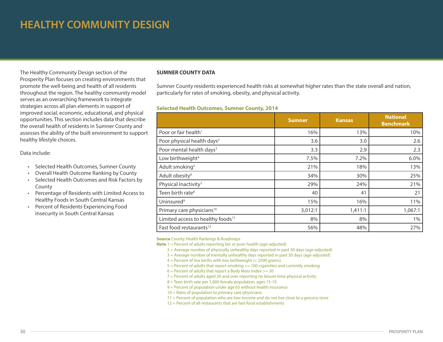# **HEALTHY COMMUNITY DESIGN**

The Healthy Community Design section of the Prosperity Plan focuses on creating environments that promote the well-being and health of all residents throughout the region. The healthy community model serves as an overarching framework to integrate strategies across all plan elements in support of improved social, economic, educational, and physical opportunities. This section includes data that describe the overall health of residents in Sumner County and assesses the ability of the built environment to support healthy lifestyle choices.

#### Data include:

- • Selected Health Outcomes, Sumner County
- • Overall Health Outcome Ranking by County
- • Selected Health Outcomes and Risk Factors by County
- • Percentage of Residents with Limited Access to Healthy Foods in South Central Kansas
- • Percent of Residents Experiencing Food Insecurity in South Central Kansas

## **SUMNER COUNTY DATA**

Sumner County residents experienced health risks at somewhat higher rates than the state overall and nation, particularly for rates of smoking, obesity, and physical activity.

# **Selected Health Outcomes, Sumner County, 2014**

|                                               | <b>Sumner</b> | <b>Kansas</b> | <b>National</b><br><b>Benchmark</b> |
|-----------------------------------------------|---------------|---------------|-------------------------------------|
| Poor or fair health <sup>1</sup>              | 16%           | 13%           | 10%                                 |
| Poor physical health days <sup>2</sup>        | 3.6           | 3.0           | 2.6                                 |
| Poor mental health days <sup>3</sup>          | 3.3           | 2.9           | 2.3                                 |
| Low birthweight <sup>4</sup>                  | 7.5%          | 7.2%          | 6.0%                                |
| Adult smoking <sup>5</sup>                    | 21%           | 18%           | 13%                                 |
| Adult obesity <sup>6</sup>                    | 34%           | 30%           | 25%                                 |
| Physical Inactivity <sup>7</sup>              | 29%           | 24%           | 21%                                 |
| Teen birth rate <sup>8</sup>                  | 40            | 41            | 21                                  |
| Uninsured <sup>9</sup>                        | 15%           | 16%           | 11%                                 |
| Primary care physicians <sup>10</sup>         | 3,012:1       | 1,411:1       | 1,067:1                             |
| Limited access to healthy foods <sup>11</sup> | 8%            | 8%            | $1\%$                               |
| Fast food restaurants <sup>12</sup>           | 56%           | 48%           | 27%                                 |

**Source** County Health Rankings & Roadmaps

**Note** 1 = Percent of adults reporting fair or poor health (age-adjusted)

- 2 = Average number of physically unhealthy days reported in past 30 days (age-adjusted)
- 3 = Average number of mentally unhealthy days reported in past 30 days (age-adjusted)
- $4$  = Percent of live births with low birthweight (< 2500 grams)
- 5 = Percent of adults that report smoking >= 100 cigarettes and currently smoking
- $6$  = Percent of adults that report a Body Mass Index > = 30
- 7 = Percent of adults aged 20 and over reporting no leisure time physical activity
- 8 = Teen birth rate per 1,000 female population, ages 15-19
- 9 = Percent of population under age 65 without health insurance
- $10 =$  Ratio of population to primary care physicians
- 11 = Percent of population who are low-income and do not live close to a grocery store
- $12$  = Percent of all restaurants that are fast-food establishments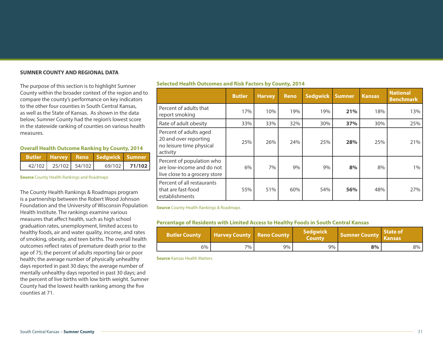#### **SUMNER COUNTY AND REGIONAL DATA**

The purpose of this section is to highlight Sumner County within the broader context of the region and to compare the county's performance on key indicators to the other four counties in South Central Kansas, as well as the State of Kansas. As shown in the data below, Sumner County had the region's lowest score in the statewide ranking of counties on various health measures.

#### **Overall Health Outcome Ranking by County, 2014**

|                            | Butler Harvey Reno Sedgwick Sumner |                 |  |
|----------------------------|------------------------------------|-----------------|--|
| $42/102$ $25/102$ $54/102$ |                                    | $69/102$ 71/102 |  |

**Source** County Health Rankings and Roadmaps

The County Health Rankings & Roadmaps program is a partnership between the Robert Wood Johnson Foundation and the University of Wisconsin Population Health Institute. The rankings examine various measures that affect health, such as high school graduation rates, unemployment, limited access to healthy foods, air and water quality, income, and rates of smoking, obesity, and teen births. The overall health outcomes reflect rates of premature death prior to the age of 75; the percent of adults reporting fair or poor health; the average number of physically unhealthy days reported in past 30 days; the average number of mentally unhealthy days reported in past 30 days; and the percent of live births with low birth weight. Sumner County had the lowest health ranking among the five counties at 71.

#### **Selected Health Outcomes and Risk Factors by County, 2014**

|                                                                                         | <b>Butler</b> | <b>Harvey</b> | <b>Reno</b> | <b>Sedgwick</b> | <b>Sumner</b> | <b>Kansas</b> | <b>National</b><br><b>Benchmark</b> |
|-----------------------------------------------------------------------------------------|---------------|---------------|-------------|-----------------|---------------|---------------|-------------------------------------|
| Percent of adults that<br>report smoking                                                | 17%           | 10%           | 19%         | 19%             | 21%           | 18%           | 13%                                 |
| Rate of adult obesity                                                                   | 33%           | 33%           | 32%         | 30%             | 37%           | 30%           | 25%                                 |
| Percent of adults aged<br>20 and over reporting<br>no leisure time physical<br>activity | 25%           | 26%           | 24%         | 25%             | 28%           | 25%           | 21%                                 |
| Percent of population who<br>are low-income and do not<br>live close to a grocery store | 6%            | 7%            | 9%          | 9%              | 8%            | 8%            | $1\%$                               |
| Percent of all restaurants<br>that are fast-food<br>establishments                      | 55%           | 51%           | 60%         | 54%             | 56%           | 48%           | 27%                                 |

**Source** County Health Rankings & Roadmaps

#### **Percentage of Residents with Limited Access to Healthy Foods in South Central Kansas**

| <b>Butler County</b> | <b>Harvey County Reno County</b> |    | l Sedgwick <sup>i</sup><br><b>County</b> | Sumner County | <b>State of</b><br><b>Kansas</b> ' |
|----------------------|----------------------------------|----|------------------------------------------|---------------|------------------------------------|
| 6%                   | $7\%$ .                          | 9% | 9%                                       | 8%            | 8%                                 |

**Source** Kansas Health Matters